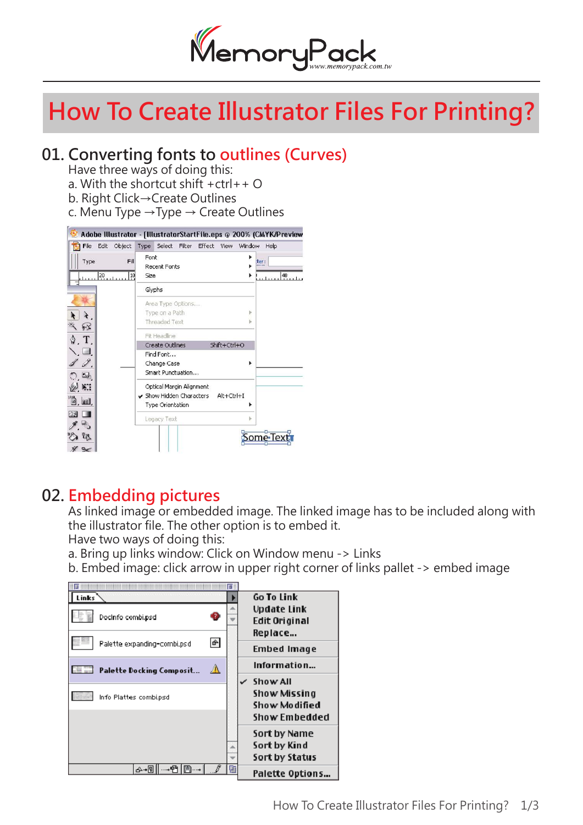

# **How To Create Illustrator Files For Printing?**

## **01. Converting fonts to outlines (Curves)**

Have three ways of doing this:

- a. With the shortcut shift  $+ctr$ l $+$  O
- b. Right Click→Create Outlines
- c. Menu Type  $\rightarrow$  Type  $\rightarrow$  Create Outlines



#### **02. Embedding pictures**

 As linked image or embedded image. The linked image has to be included along with the illustrator file. The other option is to embed it.

Have two ways of doing this:

a. Bring up links window: Click on Window menu -> Links

b. Embed image: click arrow in upper right corner of links pallet -> embed image

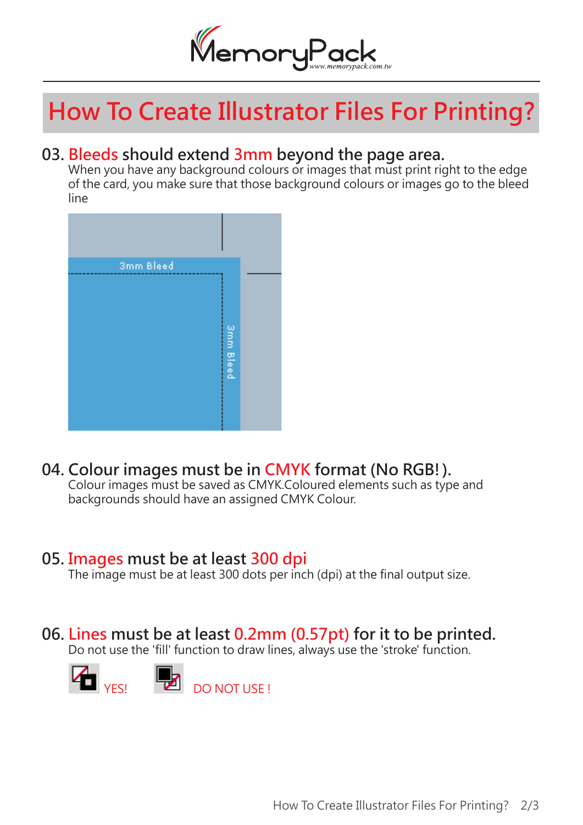

# **How To Create Illustrator Files For Printing?**

### **03. Bleeds should extend 3mm beyond the page area.**

When you have any background colours or images that must print right to the edge of the card, you make sure that those background colours or images go to the bleed line



## **04. Colour images must be in CMYK format (No RGB!).**

 Colour images must be saved as CMYK.Coloured elements such as type and backgrounds should have an assigned CMYK Colour.

#### **05. Images must be at least 300 dpi**

The image must be at least 300 dots per inch (dpi) at the final output size.

### **06. Lines must be at least 0.2mm (0.57pt) for it to be printed.**

Do not use the 'fill' function to draw lines, always use the 'stroke' function.